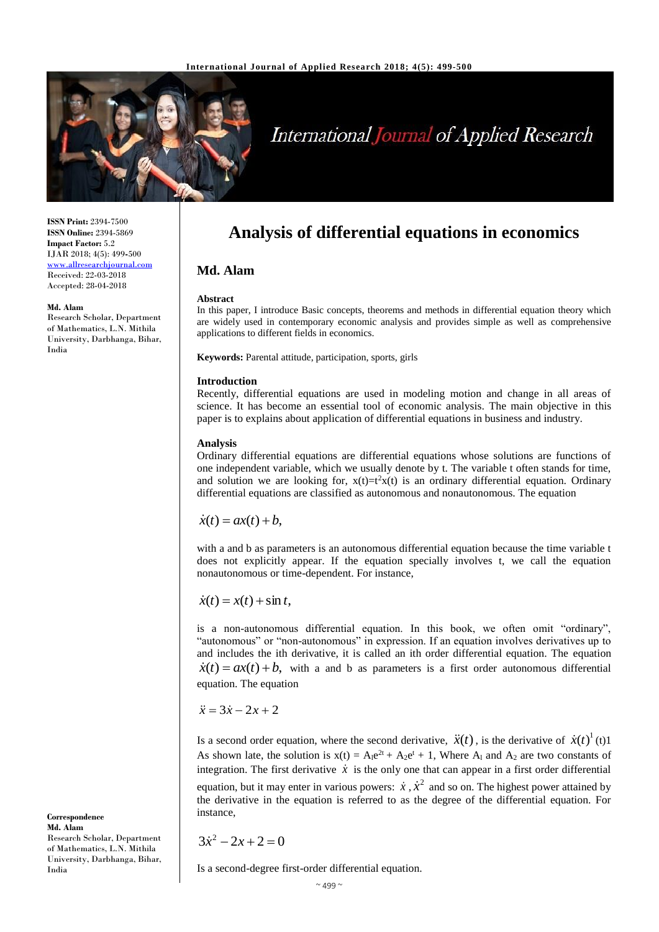

# International Journal of Applied Research

**Analysis of differential equations in economics**

In this paper, I introduce Basic concepts, theorems and methods in differential equation theory which are widely used in contemporary economic analysis and provides simple as well as comprehensive

Recently, differential equations are used in modeling motion and change in all areas of science. It has become an essential tool of economic analysis. The main objective in this paper is to explains about application of differential equations in business and industry.

Ordinary differential equations are differential equations whose solutions are functions of one independent variable, which we usually denote by t. The variable t often stands for time, and solution we are looking for,  $x(t)=t^2x(t)$  is an ordinary differential equation. Ordinary differential equations are classified as autonomous and nonautonomous. The equation

with a and b as parameters is an autonomous differential equation because the time variable t

**ISSN Print:** 2394-7500 **ISSN Online:** 2394-5869 **Impact Factor:** 5.2 IJAR 2018; 4(5): 499**-**500 <www.allresearchjournal.com> Received: 22-03-2018 Accepted: 28-04-2018

#### **Md. Alam**

Research Scholar, Department of Mathematics, L.N. Mithila University, Darbhanga, Bihar, India

> does not explicitly appear. If the equation specially involves t, we call the equation nonautonomous or time-dependent. For instance,

**Md. Alam**

**Introduction**

**Analysis**

applications to different fields in economics.

**Keywords:** Parental attitude, participation, sports, girls

**Abstract**

 $\dot{x}(t) = x(t) + \sin t$ ,

 $\dot{x}(t) = ax(t) + b$ ,

is a non-autonomous differential equation. In this book, we often omit "ordinary", "autonomous" or "non-autonomous" in expression. If an equation involves derivatives up to and includes the ith derivative, it is called an ith order differential equation. The equation  $\dot{x}(t) = ax(t) + b$ , with a and b as parameters is a first order autonomous differential equation. The equation

 $\ddot{x} = 3\dot{x} - 2x + 2$ 

Is a second order equation, where the second derivative,  $\ddot{x}(t)$ , is the derivative of  $\dot{x}(t)^{1}(t)$ 1 As shown late, the solution is  $x(t) = A_1e^{2t} + A_2e^{t} + 1$ , Where  $A_1$  and  $A_2$  are two constants of integration. The first derivative  $\dot{x}$  is the only one that can appear in a first order differential equation, but it may enter in various powers:  $\dot{x}$ ,  $\dot{x}^2$  and so on. The highest power attained by the derivative in the equation is referred to as the degree of the differential equation. For instance,

 $3\dot{x}^2 - 2x + 2 = 0$ 

Is a second-degree first-order differential equation.

**Correspondence Md. Alam** Research Scholar, Department of Mathematics, L.N. Mithila University, Darbhanga, Bihar, India